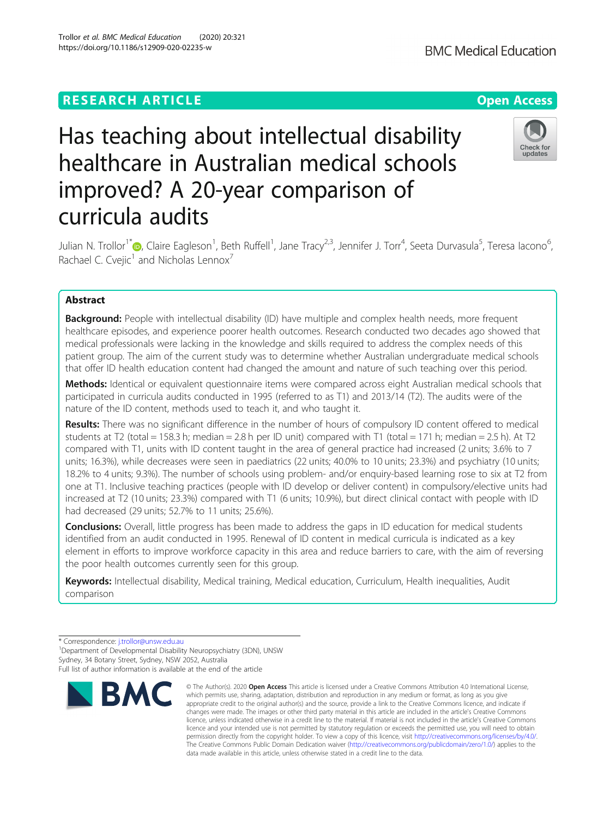# **RESEARCH ARTICLE Example 2014 12:30 The Contract of Contract ACCESS**

# Has teaching about intellectual disability healthcare in Australian medical schools improved? A 20-year comparison of curricula audits

Julian N. Trollor<sup>1\*</sup>�[,](http://orcid.org/0000-0002-7685-2977) Claire Eagleson<sup>1</sup>, Beth Ruffell<sup>1</sup>, Jane Tracy<sup>2,3</sup>, Jennifer J. Torr<sup>4</sup>, Seeta Durvasula<sup>5</sup>, Teresa Iacono<sup>6</sup> , Rachael C. Cvejic<sup>1</sup> and Nicholas Lennox<sup>7</sup>

# Abstract

**Background:** People with intellectual disability (ID) have multiple and complex health needs, more frequent healthcare episodes, and experience poorer health outcomes. Research conducted two decades ago showed that medical professionals were lacking in the knowledge and skills required to address the complex needs of this patient group. The aim of the current study was to determine whether Australian undergraduate medical schools that offer ID health education content had changed the amount and nature of such teaching over this period.

Methods: Identical or equivalent questionnaire items were compared across eight Australian medical schools that participated in curricula audits conducted in 1995 (referred to as T1) and 2013/14 (T2). The audits were of the nature of the ID content, methods used to teach it, and who taught it.

Results: There was no significant difference in the number of hours of compulsory ID content offered to medical students at T2 (total = 158.3 h; median = 2.8 h per ID unit) compared with T1 (total = 171 h; median = 2.5 h). At T2 compared with T1, units with ID content taught in the area of general practice had increased (2 units; 3.6% to 7 units; 16.3%), while decreases were seen in paediatrics (22 units; 40.0% to 10 units; 23.3%) and psychiatry (10 units; 18.2% to 4 units; 9.3%). The number of schools using problem- and/or enquiry-based learning rose to six at T2 from one at T1. Inclusive teaching practices (people with ID develop or deliver content) in compulsory/elective units had increased at T2 (10 units; 23.3%) compared with T1 (6 units; 10.9%), but direct clinical contact with people with ID had decreased (29 units; 52.7% to 11 units; 25.6%).

**Conclusions:** Overall, little progress has been made to address the gaps in ID education for medical students identified from an audit conducted in 1995. Renewal of ID content in medical curricula is indicated as a key element in efforts to improve workforce capacity in this area and reduce barriers to care, with the aim of reversing the poor health outcomes currently seen for this group.

Keywords: Intellectual disability, Medical training, Medical education, Curriculum, Health inequalities, Audit comparison

**BMC** 

<sup>1</sup> Department of Developmental Disability Neuropsychiatry (3DN), UNSW Sydney, 34 Botany Street, Sydney, NSW 2052, Australia



© The Author(s), 2020 **Open Access** This article is licensed under a Creative Commons Attribution 4.0 International License, which permits use, sharing, adaptation, distribution and reproduction in any medium or format, as long as you give





<sup>\*</sup> Correspondence: [j.trollor@unsw.edu.au](mailto:j.trollor@unsw.edu.au) <sup>1</sup>

Full list of author information is available at the end of the article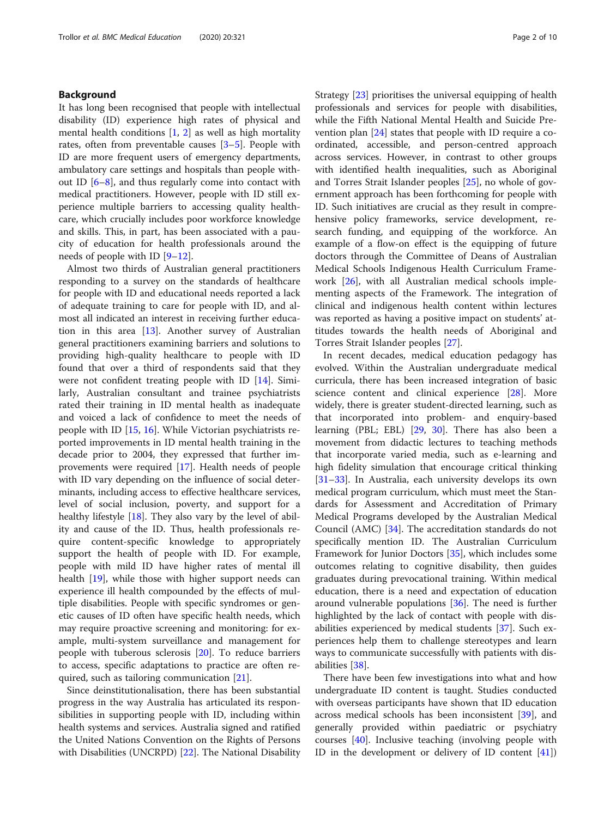# Background

It has long been recognised that people with intellectual disability (ID) experience high rates of physical and mental health conditions  $[1, 2]$  $[1, 2]$  $[1, 2]$  as well as high mortality rates, often from preventable causes [\[3](#page-8-0)–[5\]](#page-8-0). People with ID are more frequent users of emergency departments, ambulatory care settings and hospitals than people without ID [[6](#page-8-0)–[8\]](#page-8-0), and thus regularly come into contact with medical practitioners. However, people with ID still experience multiple barriers to accessing quality healthcare, which crucially includes poor workforce knowledge and skills. This, in part, has been associated with a paucity of education for health professionals around the needs of people with ID [[9](#page-8-0)–[12\]](#page-8-0).

Almost two thirds of Australian general practitioners responding to a survey on the standards of healthcare for people with ID and educational needs reported a lack of adequate training to care for people with ID, and almost all indicated an interest in receiving further education in this area [\[13](#page-8-0)]. Another survey of Australian general practitioners examining barriers and solutions to providing high-quality healthcare to people with ID found that over a third of respondents said that they were not confident treating people with ID  $[14]$ . Similarly, Australian consultant and trainee psychiatrists rated their training in ID mental health as inadequate and voiced a lack of confidence to meet the needs of people with ID [[15,](#page-8-0) [16\]](#page-8-0). While Victorian psychiatrists reported improvements in ID mental health training in the decade prior to 2004, they expressed that further improvements were required [[17\]](#page-8-0). Health needs of people with ID vary depending on the influence of social determinants, including access to effective healthcare services, level of social inclusion, poverty, and support for a healthy lifestyle [\[18\]](#page-8-0). They also vary by the level of ability and cause of the ID. Thus, health professionals require content-specific knowledge to appropriately support the health of people with ID. For example, people with mild ID have higher rates of mental ill health [\[19](#page-8-0)], while those with higher support needs can experience ill health compounded by the effects of multiple disabilities. People with specific syndromes or genetic causes of ID often have specific health needs, which may require proactive screening and monitoring: for example, multi-system surveillance and management for people with tuberous sclerosis [\[20\]](#page-8-0). To reduce barriers to access, specific adaptations to practice are often required, such as tailoring communication [\[21](#page-8-0)].

Since deinstitutionalisation, there has been substantial progress in the way Australia has articulated its responsibilities in supporting people with ID, including within health systems and services. Australia signed and ratified the United Nations Convention on the Rights of Persons with Disabilities (UNCRPD) [\[22](#page-8-0)]. The National Disability Strategy [[23\]](#page-8-0) prioritises the universal equipping of health professionals and services for people with disabilities, while the Fifth National Mental Health and Suicide Prevention plan [[24\]](#page-8-0) states that people with ID require a coordinated, accessible, and person-centred approach across services. However, in contrast to other groups with identified health inequalities, such as Aboriginal and Torres Strait Islander peoples [[25\]](#page-8-0), no whole of government approach has been forthcoming for people with ID. Such initiatives are crucial as they result in comprehensive policy frameworks, service development, research funding, and equipping of the workforce. An example of a flow-on effect is the equipping of future doctors through the Committee of Deans of Australian Medical Schools Indigenous Health Curriculum Framework [[26\]](#page-8-0), with all Australian medical schools implementing aspects of the Framework. The integration of clinical and indigenous health content within lectures was reported as having a positive impact on students' attitudes towards the health needs of Aboriginal and Torres Strait Islander peoples [\[27](#page-8-0)].

In recent decades, medical education pedagogy has evolved. Within the Australian undergraduate medical curricula, there has been increased integration of basic science content and clinical experience [[28](#page-8-0)]. More widely, there is greater student-directed learning, such as that incorporated into problem- and enquiry-based learning (PBL; EBL) [\[29](#page-8-0), [30\]](#page-8-0). There has also been a movement from didactic lectures to teaching methods that incorporate varied media, such as e-learning and high fidelity simulation that encourage critical thinking [[31](#page-8-0)–[33](#page-8-0)]. In Australia, each university develops its own medical program curriculum, which must meet the Standards for Assessment and Accreditation of Primary Medical Programs developed by the Australian Medical Council (AMC) [\[34](#page-8-0)]. The accreditation standards do not specifically mention ID. The Australian Curriculum Framework for Junior Doctors [\[35\]](#page-8-0), which includes some outcomes relating to cognitive disability, then guides graduates during prevocational training. Within medical education, there is a need and expectation of education around vulnerable populations  $[36]$  $[36]$ . The need is further highlighted by the lack of contact with people with disabilities experienced by medical students [[37\]](#page-9-0). Such experiences help them to challenge stereotypes and learn ways to communicate successfully with patients with disabilities [[38\]](#page-9-0).

There have been few investigations into what and how undergraduate ID content is taught. Studies conducted with overseas participants have shown that ID education across medical schools has been inconsistent [[39\]](#page-9-0), and generally provided within paediatric or psychiatry courses [\[40](#page-9-0)]. Inclusive teaching (involving people with ID in the development or delivery of ID content [\[41](#page-9-0)])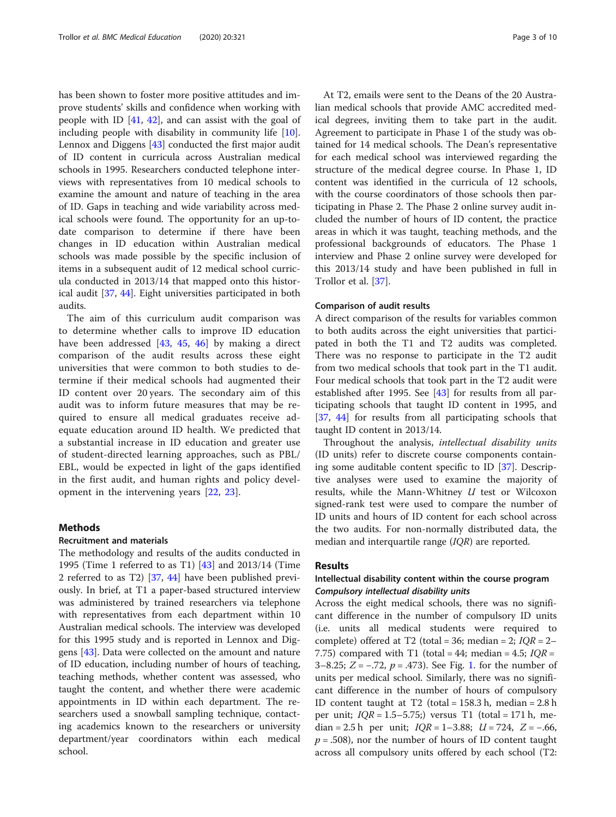has been shown to foster more positive attitudes and improve students' skills and confidence when working with people with ID [[41](#page-9-0), [42](#page-9-0)], and can assist with the goal of including people with disability in community life  $[10]$  $[10]$ . Lennox and Diggens [[43\]](#page-9-0) conducted the first major audit of ID content in curricula across Australian medical schools in 1995. Researchers conducted telephone interviews with representatives from 10 medical schools to examine the amount and nature of teaching in the area of ID. Gaps in teaching and wide variability across medical schools were found. The opportunity for an up-todate comparison to determine if there have been changes in ID education within Australian medical schools was made possible by the specific inclusion of items in a subsequent audit of 12 medical school curricula conducted in 2013/14 that mapped onto this historical audit [\[37,](#page-9-0) [44](#page-9-0)]. Eight universities participated in both audits.

The aim of this curriculum audit comparison was to determine whether calls to improve ID education have been addressed [\[43](#page-9-0), [45,](#page-9-0) [46\]](#page-9-0) by making a direct comparison of the audit results across these eight universities that were common to both studies to determine if their medical schools had augmented their ID content over 20 years. The secondary aim of this audit was to inform future measures that may be required to ensure all medical graduates receive adequate education around ID health. We predicted that a substantial increase in ID education and greater use of student-directed learning approaches, such as PBL/ EBL, would be expected in light of the gaps identified in the first audit, and human rights and policy development in the intervening years [\[22](#page-8-0), [23](#page-8-0)].

# Methods

#### Recruitment and materials

The methodology and results of the audits conducted in 1995 (Time 1 referred to as T1) [\[43\]](#page-9-0) and 2013/14 (Time 2 referred to as T2) [\[37](#page-9-0), [44\]](#page-9-0) have been published previously. In brief, at T1 a paper-based structured interview was administered by trained researchers via telephone with representatives from each department within 10 Australian medical schools. The interview was developed for this 1995 study and is reported in Lennox and Diggens [\[43\]](#page-9-0). Data were collected on the amount and nature of ID education, including number of hours of teaching, teaching methods, whether content was assessed, who taught the content, and whether there were academic appointments in ID within each department. The researchers used a snowball sampling technique, contacting academics known to the researchers or university department/year coordinators within each medical school.

At T2, emails were sent to the Deans of the 20 Australian medical schools that provide AMC accredited medical degrees, inviting them to take part in the audit. Agreement to participate in Phase 1 of the study was obtained for 14 medical schools. The Dean's representative for each medical school was interviewed regarding the structure of the medical degree course. In Phase 1, ID content was identified in the curricula of 12 schools, with the course coordinators of those schools then participating in Phase 2. The Phase 2 online survey audit included the number of hours of ID content, the practice areas in which it was taught, teaching methods, and the professional backgrounds of educators. The Phase 1 interview and Phase 2 online survey were developed for this 2013/14 study and have been published in full in Trollor et al. [[37](#page-9-0)].

# Comparison of audit results

A direct comparison of the results for variables common to both audits across the eight universities that participated in both the T1 and T2 audits was completed. There was no response to participate in the T2 audit from two medical schools that took part in the T1 audit. Four medical schools that took part in the T2 audit were established after 1995. See [[43\]](#page-9-0) for results from all participating schools that taught ID content in 1995, and [[37,](#page-9-0) [44\]](#page-9-0) for results from all participating schools that taught ID content in 2013/14.

Throughout the analysis, intellectual disability units (ID units) refer to discrete course components containing some auditable content specific to ID [[37\]](#page-9-0). Descriptive analyses were used to examine the majority of results, while the Mann-Whitney  $U$  test or Wilcoxon signed-rank test were used to compare the number of ID units and hours of ID content for each school across the two audits. For non-normally distributed data, the median and interquartile range (IQR) are reported.

# Results

# Intellectual disability content within the course program Compulsory intellectual disability units

Across the eight medical schools, there was no significant difference in the number of compulsory ID units (i.e. units all medical students were required to complete) offered at T2 (total = 36; median = 2;  $IQR = 2-$ 7.75) compared with T1 (total = 44; median = 4.5;  $IQR =$ 3–8.25;  $Z = -0.72$ ,  $p = 0.473$ . See Fig. [1.](#page-3-0) for the number of units per medical school. Similarly, there was no significant difference in the number of hours of compulsory ID content taught at T2 (total = 158.3 h, median = 2.8 h per unit;  $IQR = 1.5 - 5.75$ ;) versus T1 (total = 171 h, median = 2.5 h per unit;  $IQR = 1-3.88$ ;  $U = 724$ ,  $Z = -.66$ ,  $p = .508$ ), nor the number of hours of ID content taught across all compulsory units offered by each school (T2: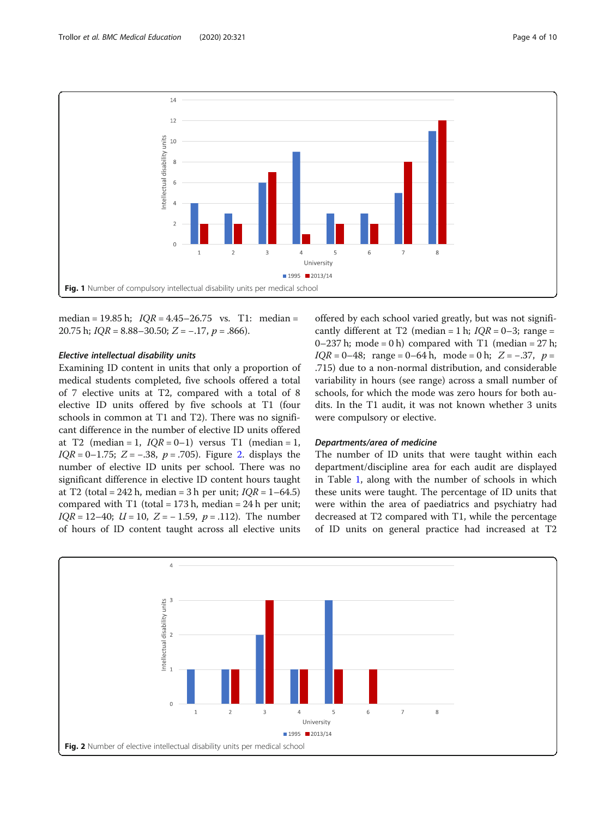<span id="page-3-0"></span>

median = 19.85 h;  $IOR = 4.45 - 26.75$  vs. T1: median = 20.75 h;  $IQR = 8.88 - 30.50$ ;  $Z = -.17$ ,  $p = .866$ ).

# Elective intellectual disability units

Examining ID content in units that only a proportion of medical students completed, five schools offered a total of 7 elective units at T2, compared with a total of 8 elective ID units offered by five schools at T1 (four schools in common at T1 and T2). There was no significant difference in the number of elective ID units offered at T2 (median = 1,  $IQR = 0-1$ ) versus T1 (median = 1,  $IQR = 0-1.75$ ; Z = -.38, p = .705). Figure 2. displays the number of elective ID units per school. There was no significant difference in elective ID content hours taught at T2 (total = 242 h, median = 3 h per unit;  $IQR = 1-64.5$ ) compared with T1 (total =  $173$  h, median =  $24$  h per unit;  $IQR = 12-40$ ;  $U = 10$ ,  $Z = -1.59$ ,  $p = .112$ ). The number of hours of ID content taught across all elective units offered by each school varied greatly, but was not significantly different at T2 (median = 1 h;  $IQR = 0-3$ ; range = 0–237 h; mode = 0 h) compared with T1 (median = 27 h;  $IQR = 0-48$ ; range = 0–64 h, mode = 0 h; Z = -.37, p = .715) due to a non-normal distribution, and considerable variability in hours (see range) across a small number of schools, for which the mode was zero hours for both audits. In the T1 audit, it was not known whether 3 units were compulsory or elective.

## Departments/area of medicine

The number of ID units that were taught within each department/discipline area for each audit are displayed in Table [1,](#page-4-0) along with the number of schools in which these units were taught. The percentage of ID units that were within the area of paediatrics and psychiatry had decreased at T2 compared with T1, while the percentage of ID units on general practice had increased at T2

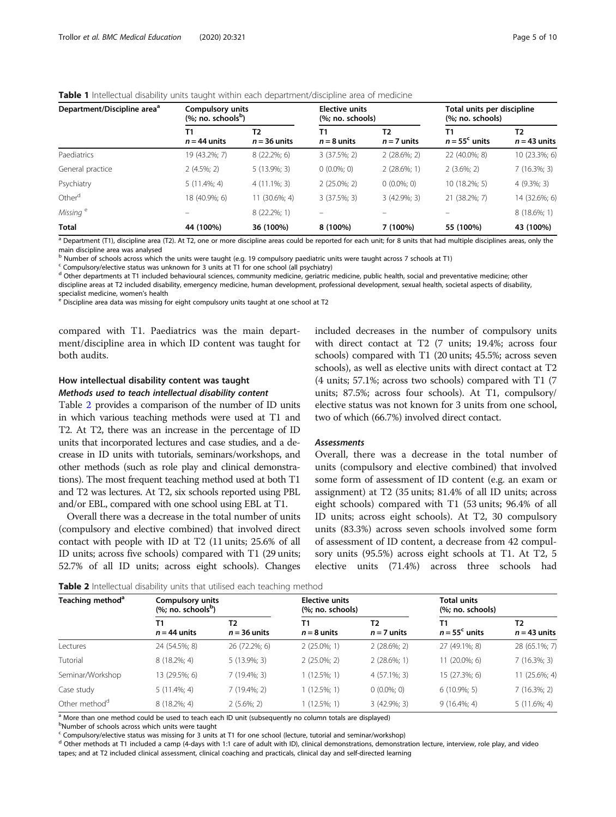| Department/Discipline area <sup>a</sup> | Compulsory units<br>$%$ ; no. schools <sup>b</sup> ) |                      | <b>Elective units</b><br>$%$ ; no. schools) |                                 | Total units per discipline<br>(%; no. schools) |                                  |
|-----------------------------------------|------------------------------------------------------|----------------------|---------------------------------------------|---------------------------------|------------------------------------------------|----------------------------------|
|                                         | Т1<br>$n = 44$ units                                 | Т2<br>$n = 36$ units | Τ1<br>$n = 8$ units                         | T <sub>2</sub><br>$n = 7$ units | <b>T1</b><br>$n = 55c$ units                   | T <sub>2</sub><br>$n = 43$ units |
| Paediatrics                             | 19 (43.2%; 7)                                        | 8 (22.2%; 6)         | $3(37.5\%; 2)$                              | $2(28.6\%; 2)$                  | 22 (40.0%; 8)                                  | 10 (23.3%; 6)                    |
| General practice                        | $2(4.5\%; 2)$                                        | $5(13.9\%; 3)$       | $0(0.0\%; 0)$                               | $2(28.6\%; 1)$                  | $2(3.6\%; 2)$                                  | $7(16.3\%; 3)$                   |
| Psychiatry                              | $5(11.4\%; 4)$                                       | $4(11.1\%; 3)$       | $2(25.0\%; 2)$                              | $0(0.0\%; 0)$                   | 10 (18.2%; 5)                                  | $4(9.3\%; 3)$                    |
| Other <sup>d</sup>                      | 18 (40.9%; 6)                                        | 11 (30.6%; 4)        | $3(37.5\%; 3)$                              | $3(42.9\%; 3)$                  | 21 (38.2%; 7)                                  | 14 (32.6%; 6)                    |
| Missing $e$                             |                                                      | 8 (22.2%; 1)         |                                             |                                 |                                                | $8(18.6\%; 1)$                   |
| <b>Total</b>                            | 44 (100%)                                            | 36 (100%)            | 8 (100%)                                    | 7 (100%)                        | 55 (100%)                                      | 43 (100%)                        |

# <span id="page-4-0"></span>Table 1 Intellectual disability units taught within each department/discipline area of medicine

a Department (T1), discipline area (T2). At T2, one or more discipline areas could be reported for each unit; for 8 units that had multiple disciplines areas, only the main discipline area was analysed

<sup>b</sup> Number of schools across which the units were taught (e.g. 19 compulsory paediatric units were taught across 7 schools at T1)

<sup>c</sup> Compulsory/elective status was unknown for 3 units at T1 for one school (all psychiatry)

<sup>d</sup> Other departments at T1 included behavioural sciences, community medicine, geriatric medicine, public health, social and preventative medicine; other discipline areas at T2 included disability, emergency medicine, human development, professional development, sexual health, societal aspects of disability,

specialist medicine, women's health<br><sup>e</sup> Discipline area data was missing for eight compulsory units taught at one school at T2

compared with T1. Paediatrics was the main department/discipline area in which ID content was taught for both audits.

# How intellectual disability content was taught Methods used to teach intellectual disability content

Table 2 provides a comparison of the number of ID units in which various teaching methods were used at T1 and T2. At T2, there was an increase in the percentage of ID units that incorporated lectures and case studies, and a decrease in ID units with tutorials, seminars/workshops, and other methods (such as role play and clinical demonstrations). The most frequent teaching method used at both T1 and T2 was lectures. At T2, six schools reported using PBL and/or EBL, compared with one school using EBL at T1.

Overall there was a decrease in the total number of units (compulsory and elective combined) that involved direct contact with people with ID at T2 (11 units; 25.6% of all ID units; across five schools) compared with T1 (29 units; 52.7% of all ID units; across eight schools). Changes included decreases in the number of compulsory units with direct contact at T2 (7 units; 19.4%; across four schools) compared with T1 (20 units; 45.5%; across seven schools), as well as elective units with direct contact at T2 (4 units; 57.1%; across two schools) compared with T1 (7 units; 87.5%; across four schools). At T1, compulsory/ elective status was not known for 3 units from one school, two of which (66.7%) involved direct contact.

# **Assessments**

Overall, there was a decrease in the total number of units (compulsory and elective combined) that involved some form of assessment of ID content (e.g. an exam or assignment) at T2 (35 units; 81.4% of all ID units; across eight schools) compared with T1 (53 units; 96.4% of all ID units; across eight schools). At T2, 30 compulsory units (83.3%) across seven schools involved some form of assessment of ID content, a decrease from 42 compulsory units (95.5%) across eight schools at T1. At T2, 5 elective units (71.4%) across three schools had

| Teaching method <sup>a</sup> |                      | Compulsory units<br>$%$ ; no. schools <sup>b</sup> ) |                     | <b>Elective units</b><br>(%; no. schools) |                       | <b>Total units</b><br>(%; no. schools) |  |
|------------------------------|----------------------|------------------------------------------------------|---------------------|-------------------------------------------|-----------------------|----------------------------------------|--|
|                              | Τ1<br>$n = 44$ units | T2<br>$n = 36$ units                                 | Τ1<br>$n = 8$ units | Т2<br>$n = 7$ units                       | Τ1<br>$n = 55c$ units | T2<br>$n = 43$ units                   |  |
| Lectures                     | 24 (54.5%; 8)        | 26 (72.2%; 6)                                        | $2(25.0\%; 1)$      | $2(28.6\%; 2)$                            | 27 (49.1%; 8)         | 28 (65.1%; 7)                          |  |
| Tutorial                     | 8 (18.2%; 4)         | $5(13.9\%; 3)$                                       | $2(25.0\%; 2)$      | $2(28.6\%; 1)$                            | $11(20.0\%; 6)$       | $7(16.3\%; 3)$                         |  |
| Seminar/Workshop             | 13 (29.5%; 6)        | $7(19.4\%; 3)$                                       | 1 (12.5%; 1)        | $4(57.1\%; 3)$                            | 15 (27.3%; 6)         | 11 (25.6%; 4)                          |  |
| Case study                   | $5(11.4\%; 4)$       | 7 (19.4%; 2)                                         | $(12.5\%; 1)$       | $0(0.0\%; 0)$                             | $6(10.9\%; 5)$        | $7(16.3\%; 2)$                         |  |
| Other method <sup>d</sup>    | 8 (18.2%; 4)         | $2(5.6\%; 2)$                                        | $(12.5\%; 1)$       | $3(42.9\%; 3)$                            | $9(16.4\%; 4)$        | $5(11.6\%; 4)$                         |  |

<sup>a</sup> More than one method could be used to teach each ID unit (subsequently no column totals are displayed)

<sup>b</sup>Number of schools across which units were taught

<sup>c</sup> Compulsory/elective status was missing for 3 units at T1 for one school (lecture, tutorial and seminar/workshop)

d Other methods at T1 included a camp (4-days with 1:1 care of adult with ID), clinical demonstrations, demonstration lecture, interview, role play, and video tapes; and at T2 included clinical assessment, clinical coaching and practicals, clinical day and self-directed learning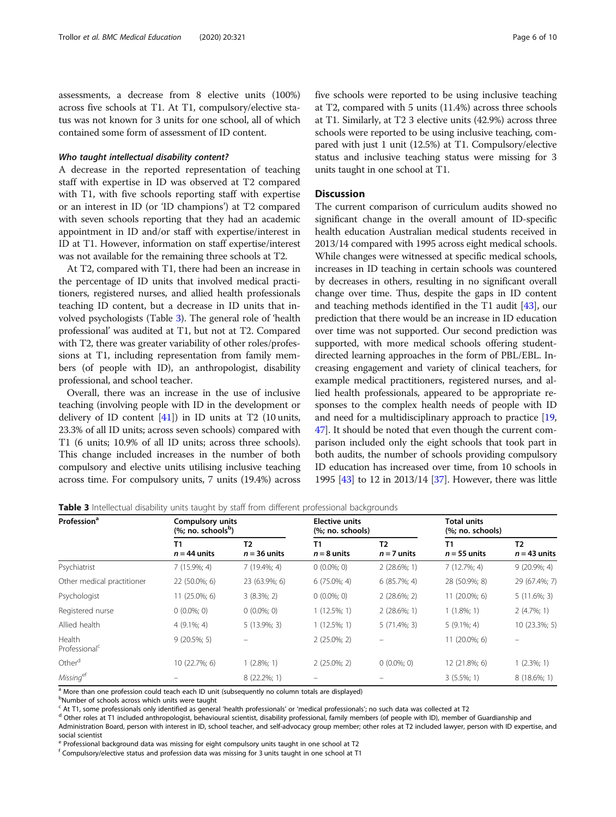assessments, a decrease from 8 elective units (100%) across five schools at T1. At T1, compulsory/elective status was not known for 3 units for one school, all of which contained some form of assessment of ID content.

#### Who taught intellectual disability content?

A decrease in the reported representation of teaching staff with expertise in ID was observed at T2 compared with T1, with five schools reporting staff with expertise or an interest in ID (or 'ID champions') at T2 compared with seven schools reporting that they had an academic appointment in ID and/or staff with expertise/interest in ID at T1. However, information on staff expertise/interest was not available for the remaining three schools at T2.

At T2, compared with T1, there had been an increase in the percentage of ID units that involved medical practitioners, registered nurses, and allied health professionals teaching ID content, but a decrease in ID units that involved psychologists (Table 3). The general role of 'health professional' was audited at T1, but not at T2. Compared with T2, there was greater variability of other roles/professions at T1, including representation from family members (of people with ID), an anthropologist, disability professional, and school teacher.

Overall, there was an increase in the use of inclusive teaching (involving people with ID in the development or delivery of ID content [\[41\]](#page-9-0)) in ID units at T2 (10 units, 23.3% of all ID units; across seven schools) compared with T1 (6 units; 10.9% of all ID units; across three schools). This change included increases in the number of both compulsory and elective units utilising inclusive teaching across time. For compulsory units, 7 units (19.4%) across five schools were reported to be using inclusive teaching at T2, compared with 5 units (11.4%) across three schools at T1. Similarly, at T2 3 elective units (42.9%) across three schools were reported to be using inclusive teaching, compared with just 1 unit (12.5%) at T1. Compulsory/elective status and inclusive teaching status were missing for 3 units taught in one school at T1.

# **Discussion**

The current comparison of curriculum audits showed no significant change in the overall amount of ID-specific health education Australian medical students received in 2013/14 compared with 1995 across eight medical schools. While changes were witnessed at specific medical schools, increases in ID teaching in certain schools was countered by decreases in others, resulting in no significant overall change over time. Thus, despite the gaps in ID content and teaching methods identified in the T1 audit [[43](#page-9-0)], our prediction that there would be an increase in ID education over time was not supported. Our second prediction was supported, with more medical schools offering studentdirected learning approaches in the form of PBL/EBL. Increasing engagement and variety of clinical teachers, for example medical practitioners, registered nurses, and allied health professionals, appeared to be appropriate responses to the complex health needs of people with ID and need for a multidisciplinary approach to practice [[19](#page-8-0), [47](#page-9-0)]. It should be noted that even though the current comparison included only the eight schools that took part in both audits, the number of schools providing compulsory ID education has increased over time, from 10 schools in 1995 [\[43\]](#page-9-0) to 12 in 2013/14 [[37\]](#page-9-0). However, there was little

| Profession <sup>a</sup>             | <b>Compulsory units</b><br>$%$ ; no. schools <sup>b</sup> ) |                                  | <b>Elective units</b><br>(%; no. schools) |                                 | <b>Total units</b><br>(%; no. schools) |                                  |
|-------------------------------------|-------------------------------------------------------------|----------------------------------|-------------------------------------------|---------------------------------|----------------------------------------|----------------------------------|
|                                     | T1<br>$n = 44$ units                                        | T <sub>2</sub><br>$n = 36$ units | Т1<br>$n = 8$ units                       | T <sub>2</sub><br>$n = 7$ units | T1<br>$n = 55$ units                   | T <sub>2</sub><br>$n = 43$ units |
| Psychiatrist                        | $7(15.9\%; 4)$                                              | $7(19.4\%; 4)$                   | $0(0.0\%; 0)$                             | $2(28.6\%; 1)$                  | $7(12.7\%; 4)$                         | $9(20.9\%; 4)$                   |
| Other medical practitioner          | 22 (50.0%; 6)                                               | 23 (63.9%; 6)                    | $6(75.0\%; 4)$                            | $6(85.7\%; 4)$                  | 28 (50.9%; 8)                          | 29 (67.4%; 7)                    |
| Psychologist                        | 11 (25.0%; 6)                                               | $3(8.3\%; 2)$                    | $0(0.0\%; 0)$                             | $2(28.6\%; 2)$                  | 11 (20.0%; 6)                          | $5(11.6\%; 3)$                   |
| Registered nurse                    | $0(0.0\%; 0)$                                               | $0(0.0\%; 0)$                    | $1(12.5\%; 1)$                            | $2(28.6\%; 1)$                  | $1(1.8\%; 1)$                          | $2(4.7\%; 1)$                    |
| Allied health                       | $4(9.1\%; 4)$                                               | $5(13.9\%; 3)$                   | $1(12.5\%; 1)$                            | $5(71.4\%; 3)$                  | $5(9.1\%; 4)$                          | 10 (23.3%; 5)                    |
| Health<br>Professional <sup>c</sup> | $9(20.5\%; 5)$                                              |                                  | $2(25.0\%; 2)$                            |                                 | 11 (20.0%; 6)                          |                                  |
| Other <sup>d</sup>                  | 10 (22.7%; 6)                                               | $1(2.8\%; 1)$                    | $2(25.0\%; 2)$                            | $0(0.0\%; 0)$                   | 12 (21.8%; 6)                          | $1(2.3\%; 1)$                    |
| Missing <sup>ef</sup>               |                                                             | 8 (22.2%; 1)                     |                                           |                                 | $3(5.5\%; 1)$                          | $8(18.6\%; 1)$                   |

**Table 3** Intellectual disability units taught by staff from different professional backgrounds

<sup>a</sup> More than one profession could teach each ID unit (subsequently no column totals are displayed)

<sup>b</sup>Number of schools across which units were taught

 $\text{c}$  At T1, some professionals only identified as general 'health professionals' or 'medical professionals'; no such data was collected at T2<br>d Other roles at T1 included anthropologist, behavioural scientist, disabili

Administration Board, person with interest in ID, school teacher, and self-advocacy group member; other roles at T2 included lawyer, person with ID expertise, and social scientist

e Professional background data was missing for eight compulsory units taught in one school at T2

<sup>f</sup> Compulsory/elective status and profession data was missing for 3 units taught in one school at T1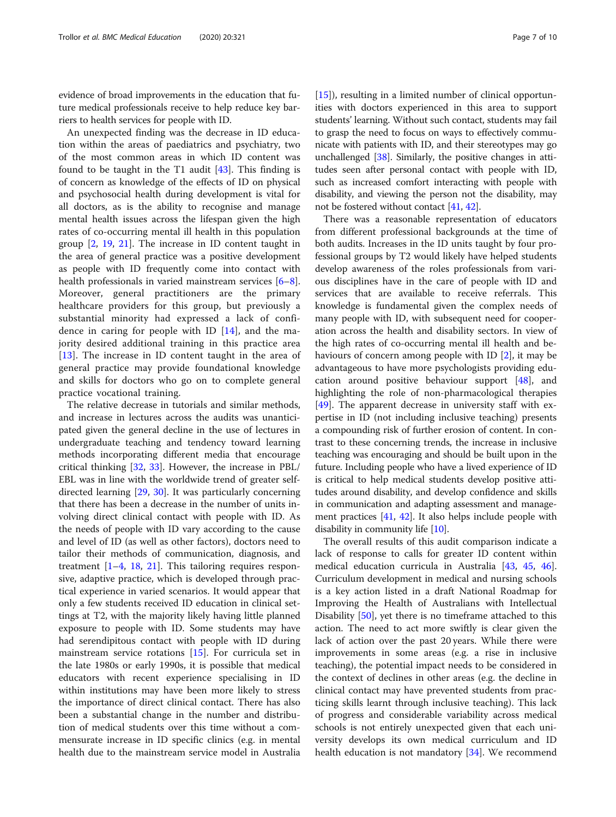evidence of broad improvements in the education that future medical professionals receive to help reduce key barriers to health services for people with ID.

An unexpected finding was the decrease in ID education within the areas of paediatrics and psychiatry, two of the most common areas in which ID content was found to be taught in the T1 audit [[43\]](#page-9-0). This finding is of concern as knowledge of the effects of ID on physical and psychosocial health during development is vital for all doctors, as is the ability to recognise and manage mental health issues across the lifespan given the high rates of co-occurring mental ill health in this population group [[2,](#page-8-0) [19,](#page-8-0) [21\]](#page-8-0). The increase in ID content taught in the area of general practice was a positive development as people with ID frequently come into contact with health professionals in varied mainstream services [\[6](#page-8-0)–[8](#page-8-0)]. Moreover, general practitioners are the primary healthcare providers for this group, but previously a substantial minority had expressed a lack of confidence in caring for people with ID  $[14]$  $[14]$  $[14]$ , and the majority desired additional training in this practice area [[13\]](#page-8-0). The increase in ID content taught in the area of general practice may provide foundational knowledge and skills for doctors who go on to complete general practice vocational training.

The relative decrease in tutorials and similar methods, and increase in lectures across the audits was unanticipated given the general decline in the use of lectures in undergraduate teaching and tendency toward learning methods incorporating different media that encourage critical thinking [[32,](#page-8-0) [33](#page-8-0)]. However, the increase in PBL/ EBL was in line with the worldwide trend of greater selfdirected learning [[29,](#page-8-0) [30](#page-8-0)]. It was particularly concerning that there has been a decrease in the number of units involving direct clinical contact with people with ID. As the needs of people with ID vary according to the cause and level of ID (as well as other factors), doctors need to tailor their methods of communication, diagnosis, and treatment  $[1-4, 18, 21]$  $[1-4, 18, 21]$  $[1-4, 18, 21]$  $[1-4, 18, 21]$  $[1-4, 18, 21]$  $[1-4, 18, 21]$  $[1-4, 18, 21]$ . This tailoring requires responsive, adaptive practice, which is developed through practical experience in varied scenarios. It would appear that only a few students received ID education in clinical settings at T2, with the majority likely having little planned exposure to people with ID. Some students may have had serendipitous contact with people with ID during mainstream service rotations [[15](#page-8-0)]. For curricula set in the late 1980s or early 1990s, it is possible that medical educators with recent experience specialising in ID within institutions may have been more likely to stress the importance of direct clinical contact. There has also been a substantial change in the number and distribution of medical students over this time without a commensurate increase in ID specific clinics (e.g. in mental health due to the mainstream service model in Australia

[[15\]](#page-8-0)), resulting in a limited number of clinical opportunities with doctors experienced in this area to support students' learning. Without such contact, students may fail to grasp the need to focus on ways to effectively communicate with patients with ID, and their stereotypes may go unchallenged [[38](#page-9-0)]. Similarly, the positive changes in attitudes seen after personal contact with people with ID, such as increased comfort interacting with people with disability, and viewing the person not the disability, may not be fostered without contact [\[41,](#page-9-0) [42\]](#page-9-0).

There was a reasonable representation of educators from different professional backgrounds at the time of both audits. Increases in the ID units taught by four professional groups by T2 would likely have helped students develop awareness of the roles professionals from various disciplines have in the care of people with ID and services that are available to receive referrals. This knowledge is fundamental given the complex needs of many people with ID, with subsequent need for cooperation across the health and disability sectors. In view of the high rates of co-occurring mental ill health and behaviours of concern among people with ID [\[2](#page-8-0)], it may be advantageous to have more psychologists providing education around positive behaviour support  $[48]$  $[48]$ , and highlighting the role of non-pharmacological therapies [[49\]](#page-9-0). The apparent decrease in university staff with expertise in ID (not including inclusive teaching) presents a compounding risk of further erosion of content. In contrast to these concerning trends, the increase in inclusive teaching was encouraging and should be built upon in the future. Including people who have a lived experience of ID is critical to help medical students develop positive attitudes around disability, and develop confidence and skills in communication and adapting assessment and management practices [\[41,](#page-9-0) [42](#page-9-0)]. It also helps include people with disability in community life [[10](#page-8-0)].

The overall results of this audit comparison indicate a lack of response to calls for greater ID content within medical education curricula in Australia [\[43](#page-9-0), [45,](#page-9-0) [46](#page-9-0)]. Curriculum development in medical and nursing schools is a key action listed in a draft National Roadmap for Improving the Health of Australians with Intellectual Disability [\[50](#page-9-0)], yet there is no timeframe attached to this action. The need to act more swiftly is clear given the lack of action over the past 20 years. While there were improvements in some areas (e.g. a rise in inclusive teaching), the potential impact needs to be considered in the context of declines in other areas (e.g. the decline in clinical contact may have prevented students from practicing skills learnt through inclusive teaching). This lack of progress and considerable variability across medical schools is not entirely unexpected given that each university develops its own medical curriculum and ID health education is not mandatory [[34](#page-8-0)]. We recommend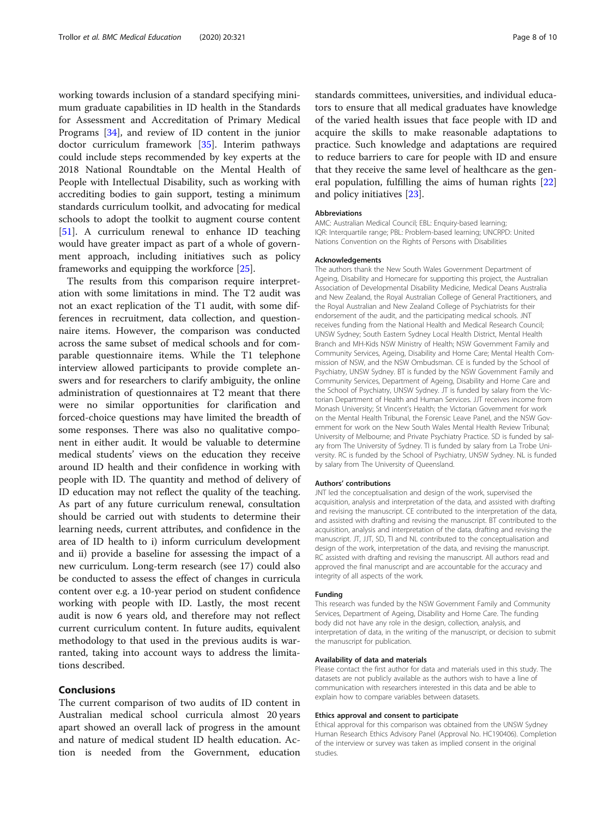working towards inclusion of a standard specifying minimum graduate capabilities in ID health in the Standards for Assessment and Accreditation of Primary Medical Programs [\[34](#page-8-0)], and review of ID content in the junior doctor curriculum framework [[35\]](#page-8-0). Interim pathways could include steps recommended by key experts at the 2018 National Roundtable on the Mental Health of People with Intellectual Disability, such as working with accrediting bodies to gain support, testing a minimum standards curriculum toolkit, and advocating for medical schools to adopt the toolkit to augment course content [[51\]](#page-9-0). A curriculum renewal to enhance ID teaching would have greater impact as part of a whole of government approach, including initiatives such as policy frameworks and equipping the workforce [[25\]](#page-8-0).

The results from this comparison require interpretation with some limitations in mind. The T2 audit was not an exact replication of the T1 audit, with some differences in recruitment, data collection, and questionnaire items. However, the comparison was conducted across the same subset of medical schools and for comparable questionnaire items. While the T1 telephone interview allowed participants to provide complete answers and for researchers to clarify ambiguity, the online administration of questionnaires at T2 meant that there were no similar opportunities for clarification and forced-choice questions may have limited the breadth of some responses. There was also no qualitative component in either audit. It would be valuable to determine medical students' views on the education they receive around ID health and their confidence in working with people with ID. The quantity and method of delivery of ID education may not reflect the quality of the teaching. As part of any future curriculum renewal, consultation should be carried out with students to determine their learning needs, current attributes, and confidence in the area of ID health to i) inform curriculum development and ii) provide a baseline for assessing the impact of a new curriculum. Long-term research (see 17) could also be conducted to assess the effect of changes in curricula content over e.g. a 10-year period on student confidence working with people with ID. Lastly, the most recent audit is now 6 years old, and therefore may not reflect current curriculum content. In future audits, equivalent methodology to that used in the previous audits is warranted, taking into account ways to address the limitations described.

# Conclusions

The current comparison of two audits of ID content in Australian medical school curricula almost 20 years apart showed an overall lack of progress in the amount and nature of medical student ID health education. Action is needed from the Government, education standards committees, universities, and individual educators to ensure that all medical graduates have knowledge of the varied health issues that face people with ID and acquire the skills to make reasonable adaptations to practice. Such knowledge and adaptations are required to reduce barriers to care for people with ID and ensure that they receive the same level of healthcare as the general population, fulfilling the aims of human rights [[22](#page-8-0)] and policy initiatives [\[23\]](#page-8-0).

#### **Abbreviations**

AMC: Australian Medical Council; EBL: Enquiry-based learning; IQR: Interquartile range; PBL: Problem-based learning; UNCRPD: United Nations Convention on the Rights of Persons with Disabilities

#### Acknowledgements

The authors thank the New South Wales Government Department of Ageing, Disability and Homecare for supporting this project, the Australian Association of Developmental Disability Medicine, Medical Deans Australia and New Zealand, the Royal Australian College of General Practitioners, and the Royal Australian and New Zealand College of Psychiatrists for their endorsement of the audit, and the participating medical schools. JNT receives funding from the National Health and Medical Research Council; UNSW Sydney; South Eastern Sydney Local Health District, Mental Health Branch and MH-Kids NSW Ministry of Health; NSW Government Family and Community Services, Ageing, Disability and Home Care; Mental Health Commission of NSW, and the NSW Ombudsman. CE is funded by the School of Psychiatry, UNSW Sydney. BT is funded by the NSW Government Family and Community Services, Department of Ageing, Disability and Home Care and the School of Psychiatry, UNSW Sydney. JT is funded by salary from the Victorian Department of Health and Human Services. JJT receives income from Monash University; St Vincent's Health; the Victorian Government for work on the Mental Health Tribunal, the Forensic Leave Panel, and the NSW Government for work on the New South Wales Mental Health Review Tribunal; University of Melbourne; and Private Psychiatry Practice. SD is funded by salary from The University of Sydney. TI is funded by salary from La Trobe University. RC is funded by the School of Psychiatry, UNSW Sydney. NL is funded by salary from The University of Queensland.

#### Authors' contributions

JNT led the conceptualisation and design of the work, supervised the acquisition, analysis and interpretation of the data, and assisted with drafting and revising the manuscript. CE contributed to the interpretation of the data, and assisted with drafting and revising the manuscript. BT contributed to the acquisition, analysis and interpretation of the data, drafting and revising the manuscript. JT, JJT, SD, TI and NL contributed to the conceptualisation and design of the work, interpretation of the data, and revising the manuscript. RC assisted with drafting and revising the manuscript. All authors read and approved the final manuscript and are accountable for the accuracy and integrity of all aspects of the work.

#### Funding

This research was funded by the NSW Government Family and Community Services, Department of Ageing, Disability and Home Care. The funding body did not have any role in the design, collection, analysis, and interpretation of data, in the writing of the manuscript, or decision to submit the manuscript for publication.

#### Availability of data and materials

Please contact the first author for data and materials used in this study. The datasets are not publicly available as the authors wish to have a line of communication with researchers interested in this data and be able to explain how to compare variables between datasets.

#### Ethics approval and consent to participate

Ethical approval for this comparison was obtained from the UNSW Sydney Human Research Ethics Advisory Panel (Approval No. HC190406). Completion of the interview or survey was taken as implied consent in the original studies.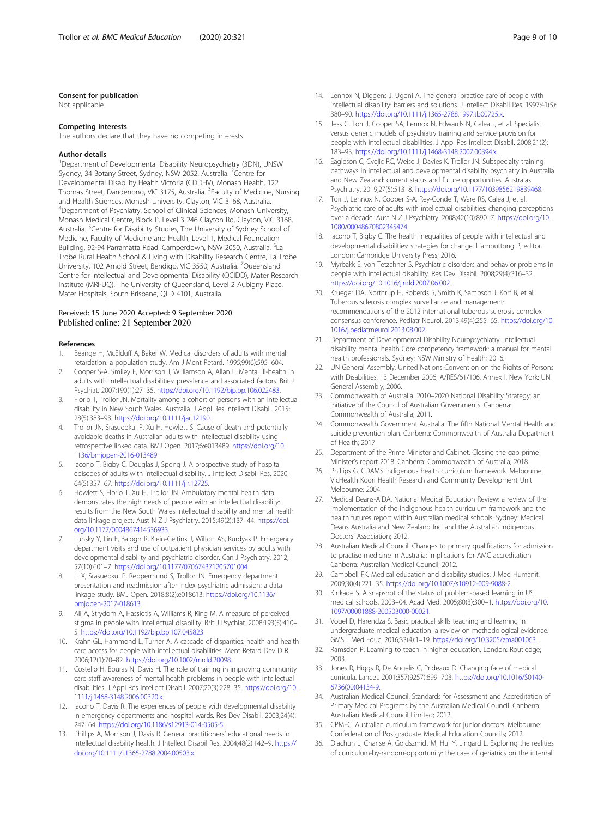#### <span id="page-8-0"></span>Consent for publication

Not applicable.

#### Competing interests

The authors declare that they have no competing interests.

#### Author details

<sup>1</sup>Department of Developmental Disability Neuropsychiatry (3DN), UNSW Sydney, 34 Botany Street, Sydney, NSW 2052, Australia. <sup>2</sup>Centre for Developmental Disability Health Victoria (CDDHV), Monash Health, 122 Thomas Street, Dandenong, VIC 3175, Australia. <sup>3</sup>Faculty of Medicine, Nursing and Health Sciences, Monash University, Clayton, VIC 3168, Australia. <sup>4</sup>Department of Psychiatry, School of Clinical Sciences, Monash University, Monash Medical Centre, Block P, Level 3 246 Clayton Rd, Clayton, VIC 3168, Australia. <sup>5</sup>Centre for Disability Studies, The University of Sydney School of Medicine, Faculty of Medicine and Health, Level 1, Medical Foundation Building, 92-94 Parramatta Road, Camperdown, NSW 2050, Australia. <sup>6</sup>La Trobe Rural Health School & Living with Disability Research Centre, La Trobe University, 102 Arnold Street, Bendigo, VIC 3550, Australia. <sup>7</sup>Queensland Centre for Intellectual and Developmental Disability (QCIDD), Mater Research Institute (MRI-UQ), The University of Queensland, Level 2 Aubigny Place, Mater Hospitals, South Brisbane, QLD 4101, Australia.

## Received: 15 June 2020 Accepted: 9 September 2020 Published online: 21 September 2020

#### References

- Beange H, McElduff A, Baker W. Medical disorders of adults with mental retardation: a population study. Am J Ment Retard. 1995;99(6):595–604.
- 2. Cooper S-A, Smiley E, Morrison J, Williamson A, Allan L. Mental ill-health in adults with intellectual disabilities: prevalence and associated factors. Brit J Psychiat. 2007;190(1):27–35. <https://doi.org/10.1192/bjp.bp.106.022483>.
- 3. Florio T, Trollor JN. Mortality among a cohort of persons with an intellectual disability in New South Wales, Australia. J Appl Res Intellect Disabil. 2015; 28(5):383–93. <https://doi.org/10.1111/jar.12190>.
- 4. Trollor JN, Srasuebkul P, Xu H, Howlett S. Cause of death and potentially avoidable deaths in Australian adults with intellectual disability using retrospective linked data. BMJ Open. 2017;6:e013489. [https://doi.org/10.](https://doi.org/10.1136/bmjopen-2016-013489) [1136/bmjopen-2016-013489](https://doi.org/10.1136/bmjopen-2016-013489).
- 5. Iacono T, Bigby C, Douglas J, Spong J. A prospective study of hospital episodes of adults with intellectual disability. J Intellect Disabil Res. 2020; 64(5):357–67. <https://doi.org/10.1111/jir.12725>.
- 6. Howlett S, Florio T, Xu H, Trollor JN. Ambulatory mental health data demonstrates the high needs of people with an intellectual disability: results from the New South Wales intellectual disability and mental health data linkage project. Aust N Z J Psychiatry. 2015;49(2):137–44. [https://doi.](https://doi.org/10.1177/0004867414536933) [org/10.1177/0004867414536933.](https://doi.org/10.1177/0004867414536933)
- Lunsky Y, Lin E, Balogh R, Klein-Geltink J, Wilton AS, Kurdyak P. Emergency department visits and use of outpatient physician services by adults with developmental disability and psychiatric disorder. Can J Psychiatry. 2012; 57(10):601–7. <https://doi.org/10.1177/070674371205701004>.
- 8. Li X, Srasuebkul P, Reppermund S, Trollor JN. Emergency department presentation and readmission after index psychiatric admission: a data linkage study. BMJ Open. 2018;8(2):e018613. [https://doi.org/10.1136/](https://doi.org/10.1136/bmjopen-2017-018613) [bmjopen-2017-018613.](https://doi.org/10.1136/bmjopen-2017-018613)
- 9. Ali A, Strydom A, Hassiotis A, Williams R, King M. A measure of perceived stigma in people with intellectual disability. Brit J Psychiat. 2008;193(5):410– 5. [https://doi.org/10.1192/bjp.bp.107.045823.](https://doi.org/10.1192/bjp.bp.107.045823)
- 10. Krahn GL, Hammond L, Turner A. A cascade of disparities: health and health care access for people with intellectual disabilities. Ment Retard Dev D R. 2006;12(1):70–82. <https://doi.org/10.1002/mrdd.20098>.
- 11. Costello H, Bouras N, Davis H. The role of training in improving community care staff awareness of mental health problems in people with intellectual disabilities. J Appl Res Intellect Disabil. 2007;20(3):228–35. [https://doi.org/10.](https://doi.org/10.1111/j.1468-3148.2006.00320.x) [1111/j.1468-3148.2006.00320.x](https://doi.org/10.1111/j.1468-3148.2006.00320.x).
- 12. Iacono T, Davis R. The experiences of people with developmental disability in emergency departments and hospital wards. Res Dev Disabil. 2003;24(4): 247–64. <https://doi.org/10.1186/s12913-014-0505-5>.
- 13. Phillips A, Morrison J, Davis R. General practitioners' educational needs in intellectual disability health. J Intellect Disabil Res. 2004;48(2):142–9. [https://](https://doi.org/10.1111/j.1365-2788.2004.00503.x) [doi.org/10.1111/j.1365-2788.2004.00503.x.](https://doi.org/10.1111/j.1365-2788.2004.00503.x)
- 14. Lennox N, Diggens J, Ugoni A. The general practice care of people with intellectual disability: barriers and solutions. J Intellect Disabil Res. 1997;41(5): 380–90. <https://doi.org/10.1111/j.1365-2788.1997.tb00725.x>.
- 15. Jess G, Torr J, Cooper SA, Lennox N, Edwards N, Galea J, et al. Specialist versus generic models of psychiatry training and service provision for people with intellectual disabilities. J Appl Res Intellect Disabil. 2008;21(2): 183–93. <https://doi.org/10.1111/j.1468-3148.2007.00394.x>.
- 16. Eagleson C, Cvejic RC, Weise J, Davies K, Trollor JN. Subspecialty training pathways in intellectual and developmental disability psychiatry in Australia and New Zealand: current status and future opportunities. Australas Psychiatry. 2019;27(5):513–8. [https://doi.org/10.1177/1039856219839468.](https://doi.org/10.1177/1039856219839468)
- 17. Torr J, Lennox N, Cooper S-A, Rey-Conde T, Ware RS, Galea J, et al. Psychiatric care of adults with intellectual disabilities: changing perceptions over a decade. Aust N Z J Psychiatry. 2008;42(10):890–7. [https://doi.org/10.](https://doi.org/10.1080/00048670802345474) [1080/00048670802345474.](https://doi.org/10.1080/00048670802345474)
- 18. Iacono T, Bigby C. The health inequalities of people with intellectual and developmental disabilities: strategies for change. Liamputtong P, editor. London: Cambridge University Press; 2016.
- 19. Myrbakk E, von Tetzchner S. Psychiatric disorders and behavior problems in people with intellectual disability. Res Dev Disabil. 2008;29(4):316–32. <https://doi.org/10.1016/j.ridd.2007.06.002>.
- 20. Krueger DA, Northrup H, Roberds S, Smith K, Sampson J, Korf B, et al. Tuberous sclerosis complex surveillance and management: recommendations of the 2012 international tuberous sclerosis complex consensus conference. Pediatr Neurol. 2013;49(4):255–65. [https://doi.org/10.](https://doi.org/10.1016/j.pediatrneurol.2013.08.002) [1016/j.pediatrneurol.2013.08.002](https://doi.org/10.1016/j.pediatrneurol.2013.08.002).
- 21. Department of Developmental Disability Neuropsychiatry. Intellectual disability mental health Core competency framework: a manual for mental health professionals. Sydney: NSW Ministry of Health; 2016.
- 22. UN General Assembly. United Nations Convention on the Rights of Persons with Disabilities, 13 December 2006, A/RES/61/106, Annex I. New York: UN General Assembly; 2006.
- 23. Commonwealth of Australia. 2010–2020 National Disability Strategy: an initiative of the Council of Australian Governments. Canberra: Commonwealth of Australia; 2011.
- 24. Commonwealth Government Australia. The fifth National Mental Health and suicide prevention plan. Canberra: Commonwealth of Australia Department of Health; 2017.
- 25. Department of the Prime Minister and Cabinet. Closing the gap prime Minister's report 2018. Canberra: Commonwealth of Australia; 2018.
- 26. Phillips G. CDAMS indigenous health curriculum framework. Melbourne: VicHealth Koori Health Research and Community Development Unit Melbourne; 2004.
- 27. Medical Deans-AIDA. National Medical Education Review: a review of the implementation of the indigenous health curriculum framework and the health futures report within Australian medical schools. Sydney: Medical Deans Australia and New Zealand Inc. and the Australian Indigenous Doctors' Association; 2012.
- 28. Australian Medical Council. Changes to primary qualifications for admission to practise medicine in Australia: implications for AMC accreditation. Canberra: Australian Medical Council; 2012.
- 29. Campbell FK. Medical education and disability studies. J Med Humanit. 2009;30(4):221–35. <https://doi.org/10.1007/s10912-009-9088-2>.
- 30. Kinkade S. A snapshot of the status of problem-based learning in US medical schools, 2003–04. Acad Med. 2005;80(3):300–1. [https://doi.org/10.](https://doi.org/10.1097/00001888-200503000-00021) [1097/00001888-200503000-00021](https://doi.org/10.1097/00001888-200503000-00021).
- 31. Vogel D, Harendza S. Basic practical skills teaching and learning in undergraduate medical education–a review on methodological evidence. GMS J Med Educ. 2016;33(4):1–19. <https://doi.org/10.3205/zma001063>.
- 32. Ramsden P. Learning to teach in higher education. London: Routledge; 2003.
- 33. Jones R, Higgs R, De Angelis C, Prideaux D. Changing face of medical curricula. Lancet. 2001;357(9257):699–703. [https://doi.org/10.1016/S0140-](https://doi.org/10.1016/S0140-6736(00)04134-9) [6736\(00\)04134-9](https://doi.org/10.1016/S0140-6736(00)04134-9).
- 34. Australian Medical Council. Standards for Assessment and Accreditation of Primary Medical Programs by the Australian Medical Council. Canberra: Australian Medical Council Limited; 2012.
- 35. CPMEC. Australian curriculum framework for junior doctors. Melbourne: Confederation of Postgraduate Medical Education Councils; 2012.
- 36. Diachun L, Charise A, Goldszmidt M, Hui Y, Lingard L. Exploring the realities of curriculum-by-random-opportunity: the case of geriatrics on the internal